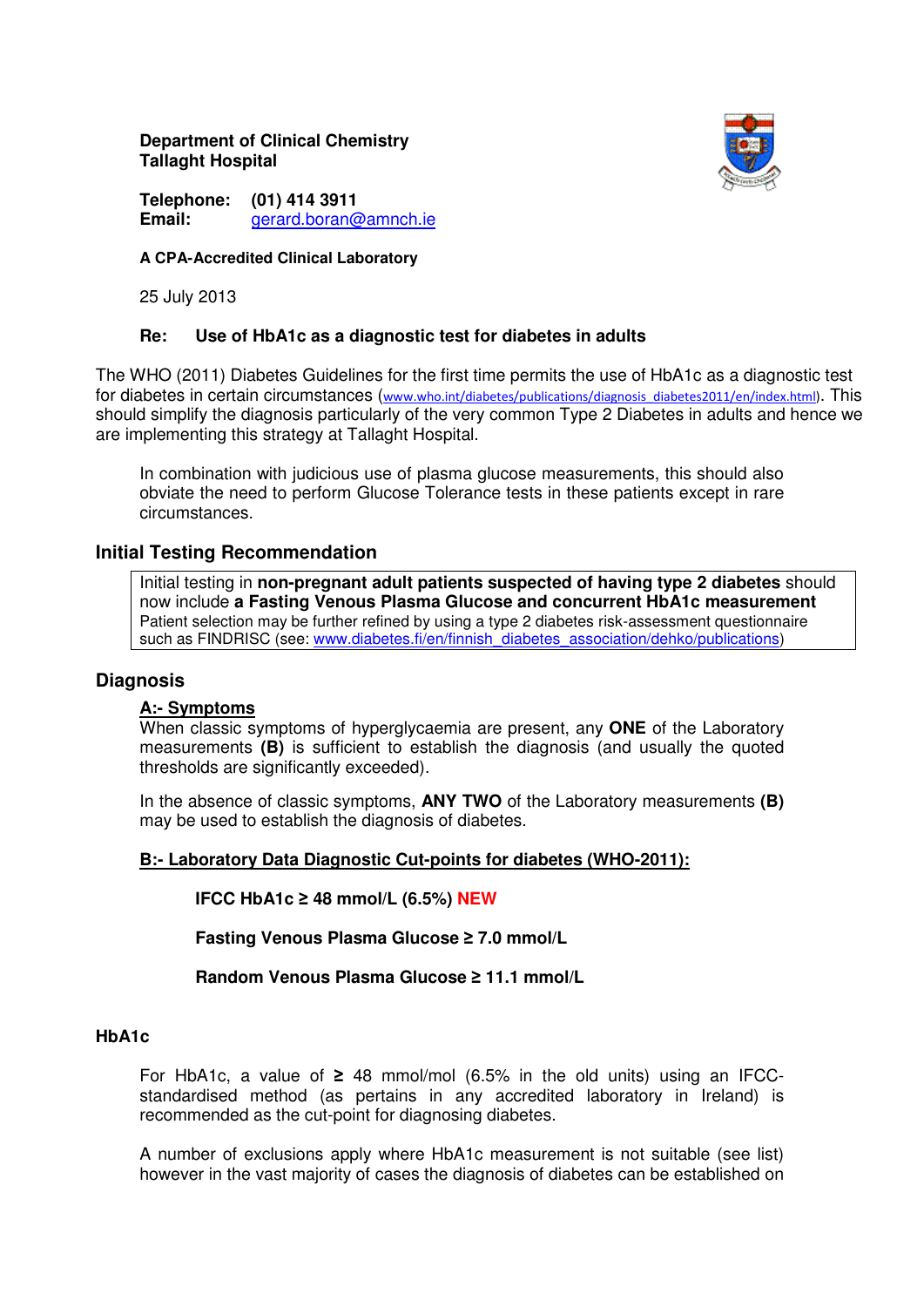**Department of Clinical Chemistry Tallaght Hospital** 



**Telephone: (01) 414 3911 Email:** gerard.boran@amnch.ie

### **A CPA-Accredited Clinical Laboratory**

25 July 2013

## **Re: Use of HbA1c as a diagnostic test for diabetes in adults**

The WHO (2011) Diabetes Guidelines for the first time permits the use of HbA1c as a diagnostic test for diabetes in certain circumstances (www.who.int/diabetes/publications/diagnosis\_diabetes2011/en/index.html). This should simplify the diagnosis particularly of the very common Type 2 Diabetes in adults and hence we are implementing this strategy at Tallaght Hospital.

In combination with judicious use of plasma glucose measurements, this should also obviate the need to perform Glucose Tolerance tests in these patients except in rare circumstances.

## **Initial Testing Recommendation**

Initial testing in **non-pregnant adult patients suspected of having type 2 diabetes** should now include **a Fasting Venous Plasma Glucose and concurrent HbA1c measurement** Patient selection may be further refined by using a type 2 diabetes risk-assessment questionnaire such as FINDRISC (see: www.diabetes.fi/en/finnish\_diabetes\_association/dehko/publications)

## **Diagnosis**

## **A:- Symptoms**

When classic symptoms of hyperglycaemia are present, any **ONE** of the Laboratory measurements **(B)** is sufficient to establish the diagnosis (and usually the quoted thresholds are significantly exceeded).

In the absence of classic symptoms, **ANY TWO** of the Laboratory measurements **(B)** may be used to establish the diagnosis of diabetes.

## **B:- Laboratory Data Diagnostic Cut-points for diabetes (WHO-2011):**

**IFCC HbA1c** ≥ **48 mmol/L (6.5%) NEW**

**Fasting Venous Plasma Glucose** ≥ **7.0 mmol/L** 

# **Random Venous Plasma Glucose** ≥ **11.1 mmol/L**

## **HbA1c**

For HbA1c, a value of  $\geq$  48 mmol/mol (6.5% in the old units) using an IFCCstandardised method (as pertains in any accredited laboratory in Ireland) is recommended as the cut-point for diagnosing diabetes.

A number of exclusions apply where HbA1c measurement is not suitable (see list) however in the vast majority of cases the diagnosis of diabetes can be established on